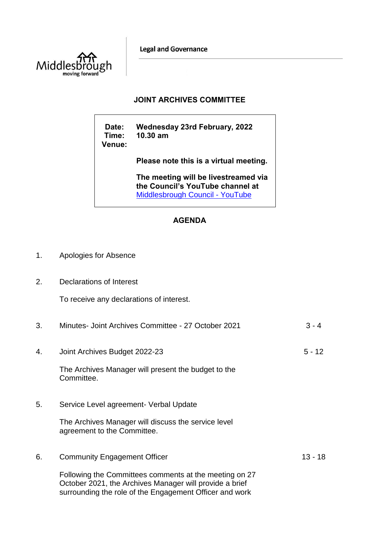**Legal and Governance** 



## **JOINT ARCHIVES COMMITTEE**

**Date: Wednesday 23rd February, 2022 Time: 10.30 am Venue:**

**Please note this is a virtual meeting.** 

**The meeting will be livestreamed via the Council's YouTube channel at**  [Middlesbrough Council -](https://www.youtube.com/user/middlesbroughcouncil) YouTube

## **AGENDA**

- 1. Apologies for Absence
- 2. Declarations of Interest

To receive any declarations of interest.

| 3. | Minutes- Joint Archives Committee - 27 October 2021                                                                                                                          | $3 - 4$   |
|----|------------------------------------------------------------------------------------------------------------------------------------------------------------------------------|-----------|
| 4. | Joint Archives Budget 2022-23                                                                                                                                                | $5 - 12$  |
|    | The Archives Manager will present the budget to the<br>Committee.                                                                                                            |           |
| 5. | Service Level agreement- Verbal Update                                                                                                                                       |           |
|    | The Archives Manager will discuss the service level<br>agreement to the Committee.                                                                                           |           |
| 6. | <b>Community Engagement Officer</b>                                                                                                                                          | $13 - 18$ |
|    | Following the Committees comments at the meeting on 27<br>October 2021, the Archives Manager will provide a brief<br>surrounding the role of the Engagement Officer and work |           |